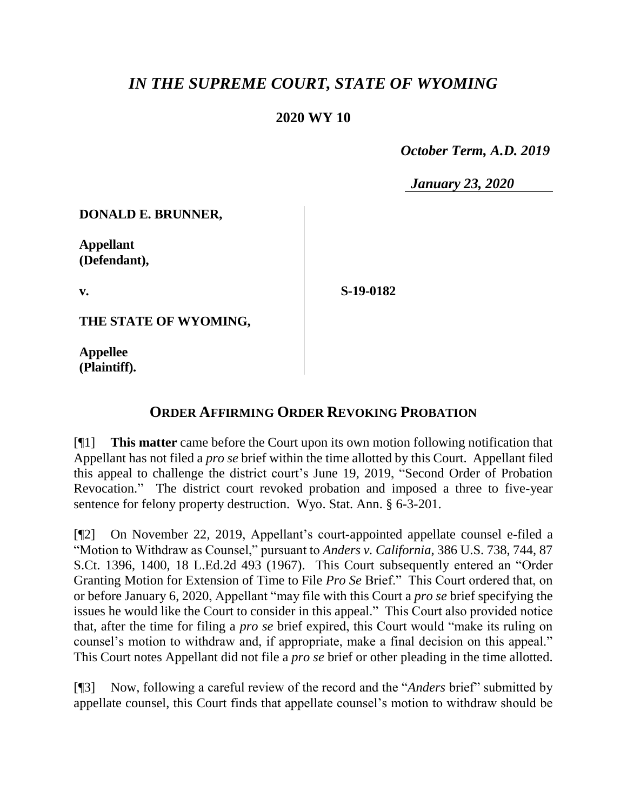## *IN THE SUPREME COURT, STATE OF WYOMING*

## **2020 WY 10**

 *October Term, A.D. 2019*

*January 23, 2020*

**DONALD E. BRUNNER,**

**Appellant (Defendant),**

**v.**

**S-19-0182**

**THE STATE OF WYOMING,**

**Appellee (Plaintiff).**

## **ORDER AFFIRMING ORDER REVOKING PROBATION**

[¶1] **This matter** came before the Court upon its own motion following notification that Appellant has not filed a *pro se* brief within the time allotted by this Court. Appellant filed this appeal to challenge the district court's June 19, 2019, "Second Order of Probation Revocation." The district court revoked probation and imposed a three to five-year sentence for felony property destruction. Wyo. Stat. Ann. § 6-3-201.

[¶2] On November 22, 2019, Appellant's court-appointed appellate counsel e-filed a "Motion to Withdraw as Counsel," pursuant to *Anders v. California*, 386 U.S. 738, 744, 87 S.Ct. 1396, 1400, 18 L.Ed.2d 493 (1967). This Court subsequently entered an "Order Granting Motion for Extension of Time to File *Pro Se* Brief." This Court ordered that, on or before January 6, 2020, Appellant "may file with this Court a *pro se* brief specifying the issues he would like the Court to consider in this appeal." This Court also provided notice that, after the time for filing a *pro se* brief expired, this Court would "make its ruling on counsel's motion to withdraw and, if appropriate, make a final decision on this appeal." This Court notes Appellant did not file a *pro se* brief or other pleading in the time allotted.

[¶3] Now, following a careful review of the record and the "*Anders* brief" submitted by appellate counsel, this Court finds that appellate counsel's motion to withdraw should be